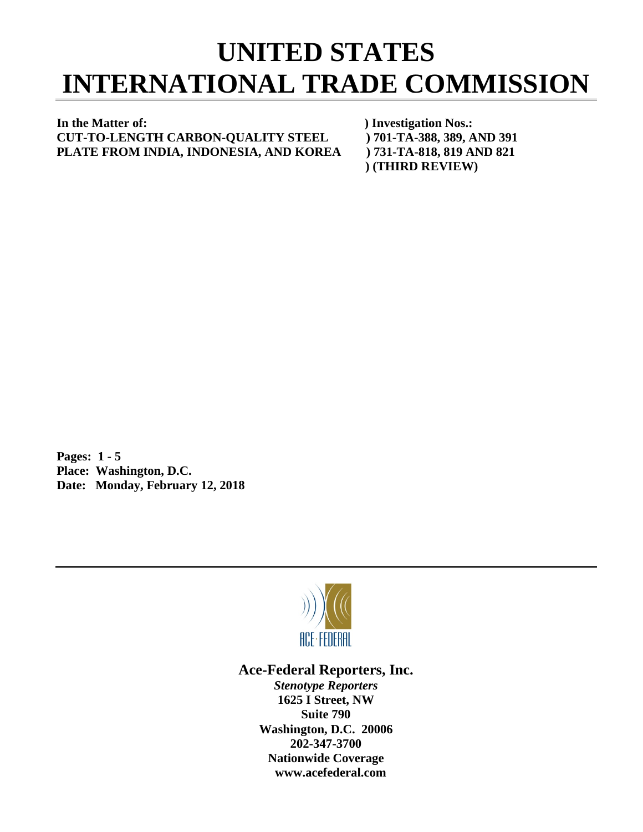## **UNITED STATES INTERNATIONAL TRADE COMMISSION**

## **In the Matter of: ) Investigation Nos.: CUT-TO-LENGTH CARBON-QUALITY STEEL ) 701-TA-388, 389, AND 391 PLATE FROM INDIA, INDONESIA, AND KOREA ) 731-TA-818, 819 AND 821**

 **) (THIRD REVIEW)**

**Pages: 1 - 5 Place: Washington, D.C. Date: Monday, February 12, 2018**



## **Ace-Federal Reporters, Inc.**

*Stenotype Reporters* **1625 I Street, NW Suite 790 Washington, D.C. 20006 202-347-3700 Nationwide Coverage www.acefederal.com**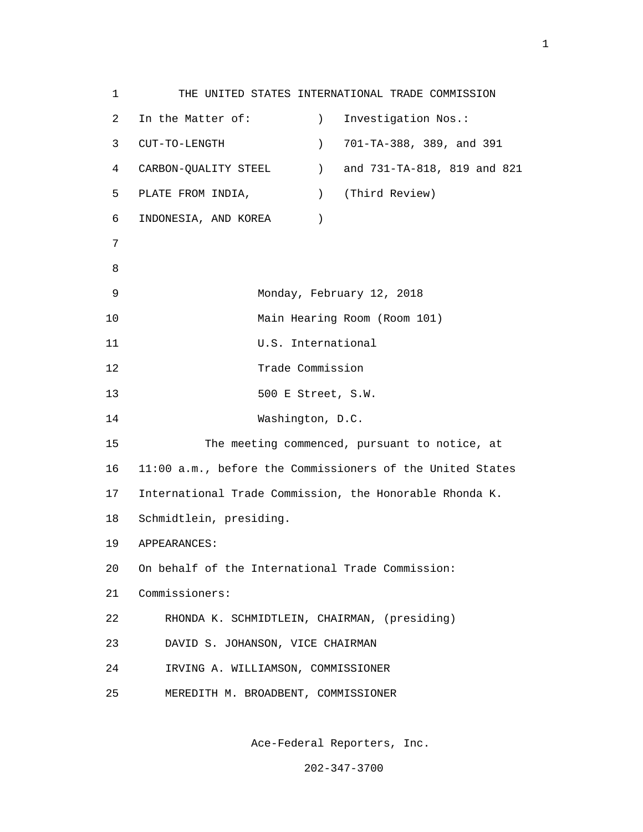1 THE UNITED STATES INTERNATIONAL TRADE COMMISSION 2 In the Matter of: ) Investigation Nos.: 3 CUT-TO-LENGTH ) 701-TA-388, 389, and 391 4 CARBON-QUALITY STEEL ) and 731-TA-818, 819 and 821 5 PLATE FROM INDIA, ) (Third Review) 6 INDONESIA, AND KOREA ) 7 e a seu ann an 1882. Bha an 1892 an 1892 an 1892 an 1892 an 1892. Bha an 1892 an 1892 an 1892 an 1892 an 1892 9 Monday, February 12, 2018 10 Main Hearing Room (Room 101) 11 U.S. International 12 Trade Commission 13 500 E Street, S.W. 14 Washington, D.C. 15 The meeting commenced, pursuant to notice, at 16 11:00 a.m., before the Commissioners of the United States 17 International Trade Commission, the Honorable Rhonda K. 18 Schmidtlein, presiding. 19 APPEARANCES: 20 On behalf of the International Trade Commission: 21 Commissioners: 22 RHONDA K. SCHMIDTLEIN, CHAIRMAN, (presiding) 23 DAVID S. JOHANSON, VICE CHAIRMAN 24 IRVING A. WILLIAMSON, COMMISSIONER 25 MEREDITH M. BROADBENT, COMMISSIONER

Ace-Federal Reporters, Inc.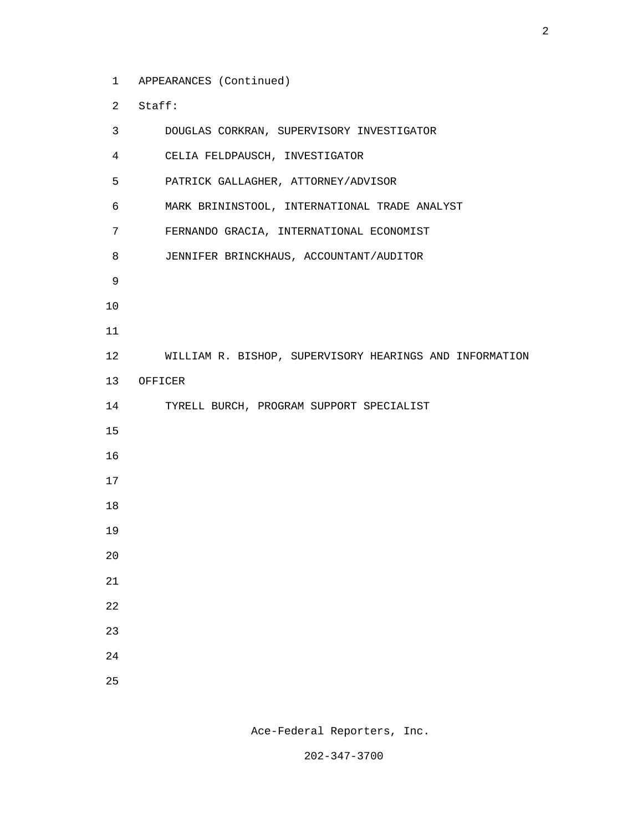1 APPEARANCES (Continued)

2 Staff:

| 3              | DOUGLAS CORKRAN, SUPERVISORY INVESTIGATOR               |
|----------------|---------------------------------------------------------|
| $\overline{4}$ | CELIA FELDPAUSCH, INVESTIGATOR                          |
| 5              | PATRICK GALLAGHER, ATTORNEY/ADVISOR                     |
| 6              | MARK BRININSTOOL, INTERNATIONAL TRADE ANALYST           |
| 7              | FERNANDO GRACIA, INTERNATIONAL ECONOMIST                |
| 8              | JENNIFER BRINCKHAUS, ACCOUNTANT/AUDITOR                 |
| 9              |                                                         |
| 10             |                                                         |
| 11             |                                                         |
| 12             | WILLIAM R. BISHOP, SUPERVISORY HEARINGS AND INFORMATION |
| 13             | OFFICER                                                 |
| 14             | TYRELL BURCH, PROGRAM SUPPORT SPECIALIST                |
| 15             |                                                         |
| 16             |                                                         |
| 17             |                                                         |
| 18             |                                                         |
| 19             |                                                         |
| 20             |                                                         |
| 21             |                                                         |
| $2\sqrt{2}$    |                                                         |
| 23             |                                                         |
| 24             |                                                         |
| 25             |                                                         |

Ace-Federal Reporters, Inc.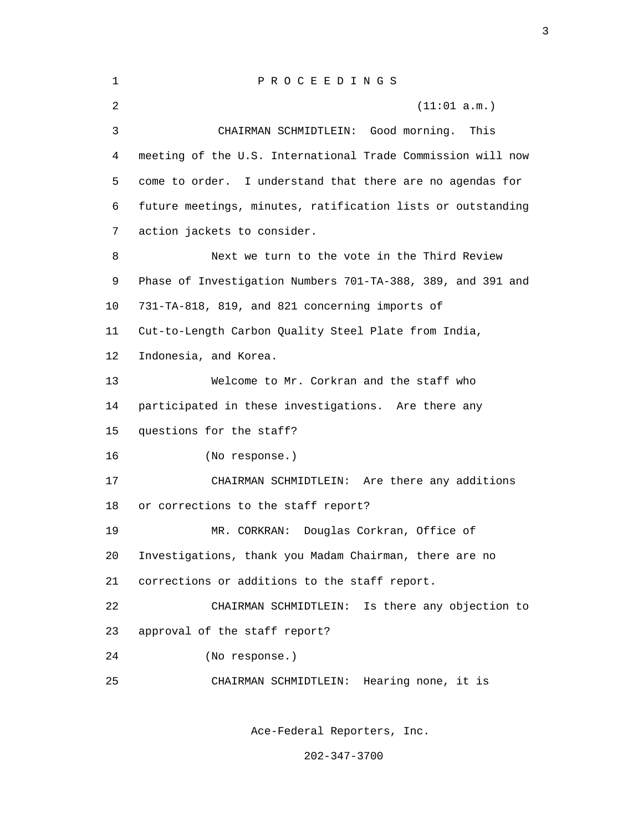| 1  | PROCEEDINGS                                                 |
|----|-------------------------------------------------------------|
| 2  | (11:01 a.m.)                                                |
| 3  | CHAIRMAN SCHMIDTLEIN: Good morning.<br>This                 |
| 4  | meeting of the U.S. International Trade Commission will now |
| 5  | come to order. I understand that there are no agendas for   |
| 6  | future meetings, minutes, ratification lists or outstanding |
| 7  | action jackets to consider.                                 |
| 8  | Next we turn to the vote in the Third Review                |
| 9  | Phase of Investigation Numbers 701-TA-388, 389, and 391 and |
| 10 | 731-TA-818, 819, and 821 concerning imports of              |
| 11 | Cut-to-Length Carbon Quality Steel Plate from India,        |
| 12 | Indonesia, and Korea.                                       |
| 13 | Welcome to Mr. Corkran and the staff who                    |
| 14 | participated in these investigations. Are there any         |
| 15 | questions for the staff?                                    |
| 16 | (No response.)                                              |
| 17 | CHAIRMAN SCHMIDTLEIN: Are there any additions               |
| 18 | or corrections to the staff report?                         |
| 19 | Douglas Corkran, Office of<br>MR. CORKRAN:                  |
| 20 | Investigations, thank you Madam Chairman, there are no      |
| 21 | corrections or additions to the staff report.               |
| 22 | Is there any objection to<br>CHAIRMAN SCHMIDTLEIN:          |
| 23 | approval of the staff report?                               |
| 24 | (No response.)                                              |
| 25 | CHAIRMAN SCHMIDTLEIN:<br>Hearing none, it is                |
|    |                                                             |

<u>3</u>

Ace-Federal Reporters, Inc.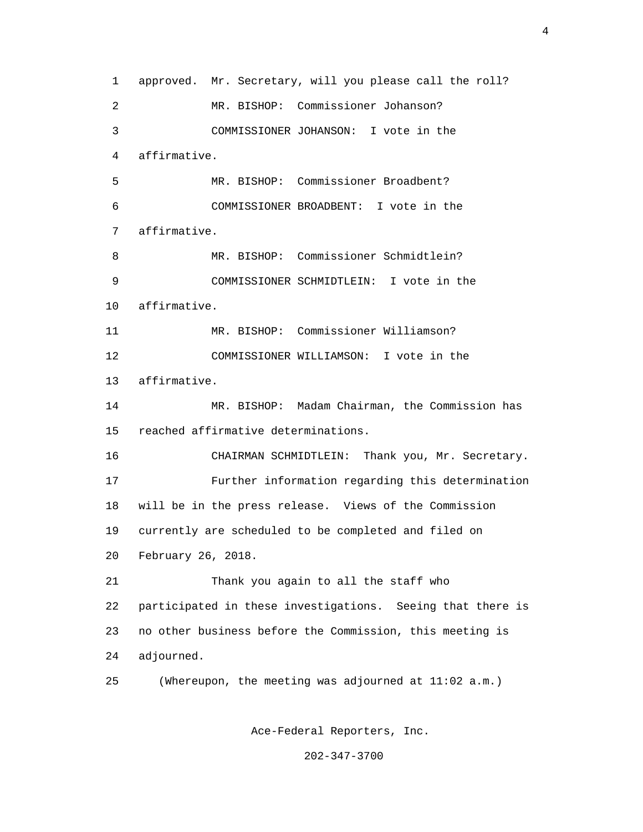1 approved. Mr. Secretary, will you please call the roll? 2 MR. BISHOP: Commissioner Johanson? 3 COMMISSIONER JOHANSON: I vote in the 4 affirmative. 5 MR. BISHOP: Commissioner Broadbent? 6 COMMISSIONER BROADBENT: I vote in the 7 affirmative. 8 MR. BISHOP: Commissioner Schmidtlein? 9 COMMISSIONER SCHMIDTLEIN: I vote in the 10 affirmative. 11 MR. BISHOP: Commissioner Williamson? 12 COMMISSIONER WILLIAMSON: I vote in the 13 affirmative. 14 MR. BISHOP: Madam Chairman, the Commission has 15 reached affirmative determinations. 16 CHAIRMAN SCHMIDTLEIN: Thank you, Mr. Secretary. 17 Further information regarding this determination 18 will be in the press release. Views of the Commission 19 currently are scheduled to be completed and filed on 20 February 26, 2018. 21 Thank you again to all the staff who 22 participated in these investigations. Seeing that there is 23 no other business before the Commission, this meeting is 24 adjourned. 25 (Whereupon, the meeting was adjourned at 11:02 a.m.)

Ace-Federal Reporters, Inc.